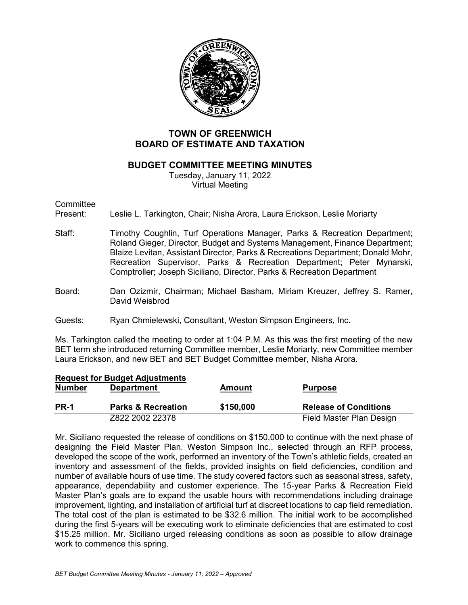

# **TOWN OF GREENWICH BOARD OF ESTIMATE AND TAXATION**

### **BUDGET COMMITTEE MEETING MINUTES**

Tuesday, January 11, 2022 Virtual Meeting

**Committee** 

Present: Leslie L. Tarkington, Chair; Nisha Arora, Laura Erickson, Leslie Moriarty

- Staff: Timothy Coughlin, Turf Operations Manager, Parks & Recreation Department; Roland Gieger, Director, Budget and Systems Management, Finance Department; Blaize Levitan, Assistant Director, Parks & Recreations Department; Donald Mohr, Recreation Supervisor, Parks & Recreation Department; Peter Mynarski, Comptroller; Joseph Siciliano, Director, Parks & Recreation Department
- Board: Dan Ozizmir, Chairman; Michael Basham, Miriam Kreuzer, Jeffrey S. Ramer, David Weisbrod
- Guests: Ryan Chmielewski, Consultant, Weston Simpson Engineers, Inc.

Ms. Tarkington called the meeting to order at 1:04 P.M. As this was the first meeting of the new BET term she introduced returning Committee member, Leslie Moriarty, new Committee member Laura Erickson, and new BET and BET Budget Committee member, Nisha Arora.

|               | <b>Request for Budget Adjustments</b> |               |                              |
|---------------|---------------------------------------|---------------|------------------------------|
| <b>Number</b> | <b>Department</b>                     | <b>Amount</b> | <b>Purpose</b>               |
| <b>PR-1</b>   | <b>Parks &amp; Recreation</b>         | \$150,000     | <b>Release of Conditions</b> |
|               | Z822 2002 22378                       |               | Field Master Plan Design     |

Mr. Siciliano requested the release of conditions on \$150,000 to continue with the next phase of designing the Field Master Plan. Weston Simpson Inc., selected through an RFP process, developed the scope of the work, performed an inventory of the Town's athletic fields, created an inventory and assessment of the fields, provided insights on field deficiencies, condition and number of available hours of use time. The study covered factors such as seasonal stress, safety, appearance, dependability and customer experience. The 15-year Parks & Recreation Field Master Plan's goals are to expand the usable hours with recommendations including drainage improvement, lighting, and installation of artificial turf at discreet locations to cap field remediation. The total cost of the plan is estimated to be \$32.6 million. The initial work to be accomplished during the first 5-years will be executing work to eliminate deficiencies that are estimated to cost \$15.25 million. Mr. Siciliano urged releasing conditions as soon as possible to allow drainage work to commence this spring.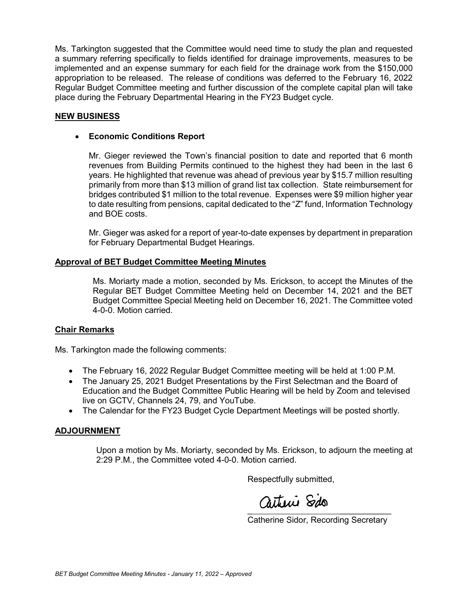Ms. Tarkington suggested that the Committee would need time to study the plan and requested a summary referring specifically to fields identified for drainage improvements, measures to be implemented and an expense summary for each field for the drainage work from the \$150,000 appropriation to be released. The release of conditions was deferred to the February 16, 2022 Regular Budget Committee meeting and further discussion of the complete capital plan will take place during the February Departmental Hearing in the FY23 Budget cycle.

## **NEW BUSINESS**

### • **Economic Conditions Report**

Mr. Gieger reviewed the Town's financial position to date and reported that 6 month revenues from Building Permits continued to the highest they had been in the last 6 years. He highlighted that revenue was ahead of previous year by \$15.7 million resulting primarily from more than \$13 million of grand list tax collection. State reimbursement for bridges contributed \$1 million to the total revenue. Expenses were \$9 million higher year to date resulting from pensions, capital dedicated to the "Z" fund, Information Technology and BOE costs.

Mr. Gieger was asked for a report of year-to-date expenses by department in preparation for February Departmental Budget Hearings.

### **Approval of BET Budget Committee Meeting Minutes**

Ms. Moriarty made a motion, seconded by Ms. Erickson, to accept the Minutes of the Regular BET Budget Committee Meeting held on December 14, 2021 and the BET Budget Committee Special Meeting held on December 16, 2021. The Committee voted 4-0-0. Motion carried.

### **Chair Remarks**

Ms. Tarkington made the following comments:

- The February 16, 2022 Regular Budget Committee meeting will be held at 1:00 P.M.
- The January 25, 2021 Budget Presentations by the First Selectman and the Board of Education and the Budget Committee Public Hearing will be held by Zoom and televised live on GCTV, Channels 24, 79, and YouTube.
- The Calendar for the FY23 Budget Cycle Department Meetings will be posted shortly.

#### **ADJOURNMENT**

Upon a motion by Ms. Moriarty, seconded by Ms. Erickson, to adjourn the meeting at 2:29 P.M., the Committee voted 4-0-0. Motion carried.

Respectfully submitted,

 $\overline{\phantom{a}}$ 

Catherine Sidor, Recording Secretary